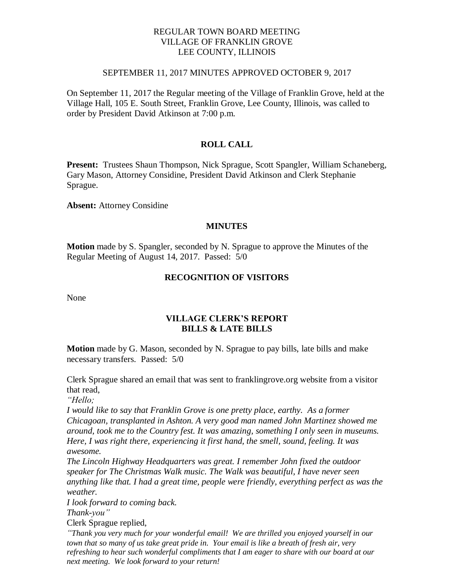### REGULAR TOWN BOARD MEETING VILLAGE OF FRANKLIN GROVE LEE COUNTY, ILLINOIS

#### SEPTEMBER 11, 2017 MINUTES APPROVED OCTOBER 9, 2017

On September 11, 2017 the Regular meeting of the Village of Franklin Grove, held at the Village Hall, 105 E. South Street, Franklin Grove, Lee County, Illinois, was called to order by President David Atkinson at 7:00 p.m.

# **ROLL CALL**

**Present:** Trustees Shaun Thompson, Nick Sprague, Scott Spangler, William Schaneberg, Gary Mason, Attorney Considine, President David Atkinson and Clerk Stephanie Sprague.

**Absent:** Attorney Considine

#### **MINUTES**

**Motion** made by S. Spangler, seconded by N. Sprague to approve the Minutes of the Regular Meeting of August 14, 2017. Passed: 5/0

# **RECOGNITION OF VISITORS**

None

#### **VILLAGE CLERK'S REPORT BILLS & LATE BILLS**

**Motion** made by G. Mason, seconded by N. Sprague to pay bills, late bills and make necessary transfers. Passed: 5/0

Clerk Sprague shared an email that was sent to franklingrove.org website from a visitor that read,

*"Hello;*

*I would like to say that Franklin Grove is one pretty place, earthy. As a former Chicagoan, transplanted in Ashton. A very good man named John Martinez showed me around, took me to the Country fest. It was amazing, something I only seen in museums. Here, I was right there, experiencing it first hand, the smell, sound, feeling. It was awesome.*

*The Lincoln Highway Headquarters was great. I remember John fixed the outdoor speaker for The Christmas Walk music. The Walk was beautiful, I have never seen anything like that. I had a great time, people were friendly, everything perfect as was the weather.*

*I look forward to coming back.*

*Thank-you"*

Clerk Sprague replied,

*"Thank you very much for your wonderful email! We are thrilled you enjoyed yourself in our town that so many of us take great pride in. Your email is like a breath of fresh air, very refreshing to hear such wonderful compliments that I am eager to share with our board at our next meeting. We look forward to your return!*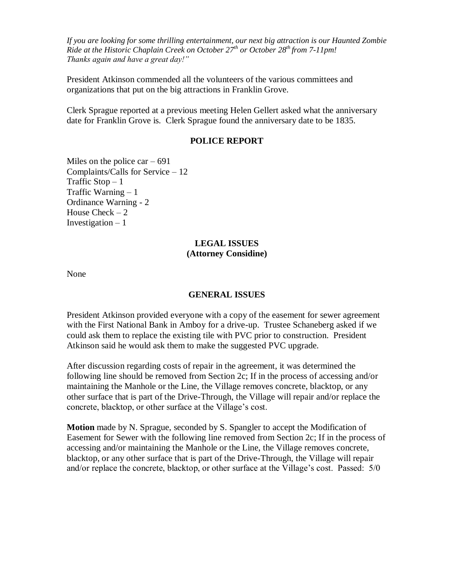*If you are looking for some thrilling entertainment, our next big attraction is our Haunted Zombie Ride at the Historic Chaplain Creek on October 27th or October 28th from 7-11pm! Thanks again and have a great day!"*

President Atkinson commended all the volunteers of the various committees and organizations that put on the big attractions in Franklin Grove.

Clerk Sprague reported at a previous meeting Helen Gellert asked what the anniversary date for Franklin Grove is. Clerk Sprague found the anniversary date to be 1835.

#### **POLICE REPORT**

Miles on the police car  $-691$ Complaints/Calls for Service – 12 Traffic  $Stop - 1$ Traffic Warning  $-1$ Ordinance Warning - 2 House Check  $-2$ Investigation  $-1$ 

# **LEGAL ISSUES (Attorney Considine)**

None

#### **GENERAL ISSUES**

President Atkinson provided everyone with a copy of the easement for sewer agreement with the First National Bank in Amboy for a drive-up. Trustee Schaneberg asked if we could ask them to replace the existing tile with PVC prior to construction. President Atkinson said he would ask them to make the suggested PVC upgrade.

After discussion regarding costs of repair in the agreement, it was determined the following line should be removed from Section 2c; If in the process of accessing and/or maintaining the Manhole or the Line, the Village removes concrete, blacktop, or any other surface that is part of the Drive-Through, the Village will repair and/or replace the concrete, blacktop, or other surface at the Village's cost.

**Motion** made by N. Sprague, seconded by S. Spangler to accept the Modification of Easement for Sewer with the following line removed from Section 2c; If in the process of accessing and/or maintaining the Manhole or the Line, the Village removes concrete, blacktop, or any other surface that is part of the Drive-Through, the Village will repair and/or replace the concrete, blacktop, or other surface at the Village's cost. Passed: 5/0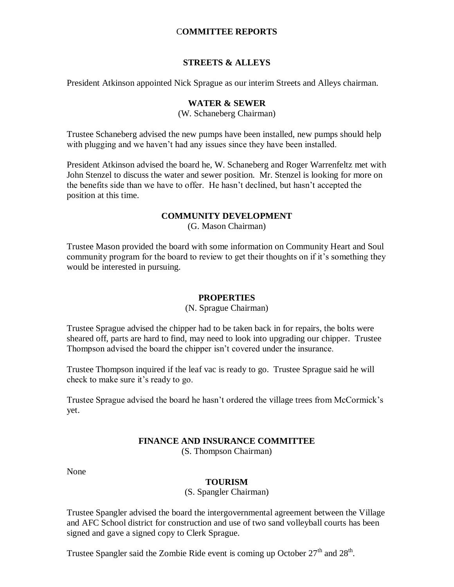# C**OMMITTEE REPORTS**

# **STREETS & ALLEYS**

President Atkinson appointed Nick Sprague as our interim Streets and Alleys chairman.

### **WATER & SEWER**

(W. Schaneberg Chairman)

Trustee Schaneberg advised the new pumps have been installed, new pumps should help with plugging and we haven't had any issues since they have been installed.

President Atkinson advised the board he, W. Schaneberg and Roger Warrenfeltz met with John Stenzel to discuss the water and sewer position. Mr. Stenzel is looking for more on the benefits side than we have to offer. He hasn't declined, but hasn't accepted the position at this time.

# **COMMUNITY DEVELOPMENT**

(G. Mason Chairman)

Trustee Mason provided the board with some information on Community Heart and Soul community program for the board to review to get their thoughts on if it's something they would be interested in pursuing.

### **PROPERTIES**

(N. Sprague Chairman)

Trustee Sprague advised the chipper had to be taken back in for repairs, the bolts were sheared off, parts are hard to find, may need to look into upgrading our chipper. Trustee Thompson advised the board the chipper isn't covered under the insurance.

Trustee Thompson inquired if the leaf vac is ready to go. Trustee Sprague said he will check to make sure it's ready to go.

Trustee Sprague advised the board he hasn't ordered the village trees from McCormick's yet.

# **FINANCE AND INSURANCE COMMITTEE**

(S. Thompson Chairman)

None

### **TOURISM**

(S. Spangler Chairman)

Trustee Spangler advised the board the intergovernmental agreement between the Village and AFC School district for construction and use of two sand volleyball courts has been signed and gave a signed copy to Clerk Sprague.

Trustee Spangler said the Zombie Ride event is coming up October  $27<sup>th</sup>$  and  $28<sup>th</sup>$ .